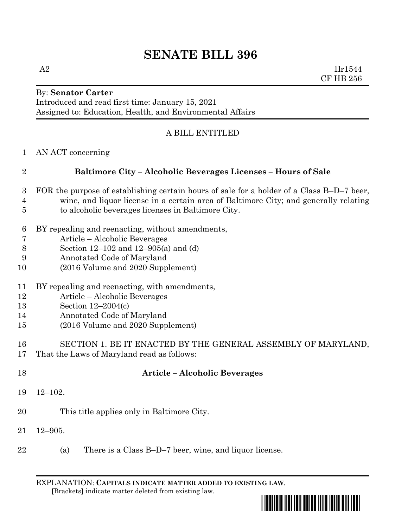# **SENATE BILL 396**

 $A2$  1lr1544 CF HB 256

## By: **Senator Carter** Introduced and read first time: January 15, 2021 Assigned to: Education, Health, and Environmental Affairs

# A BILL ENTITLED

AN ACT concerning

| <b>Baltimore City – Alcoholic Beverages Licenses – Hours of Sale</b> |  |  |  |
|----------------------------------------------------------------------|--|--|--|
|                                                                      |  |  |  |

- FOR the purpose of establishing certain hours of sale for a holder of a Class B–D–7 beer, wine, and liquor license in a certain area of Baltimore City; and generally relating to alcoholic beverages licenses in Baltimore City.
- BY repealing and reenacting, without amendments,
- Article Alcoholic Beverages
- Section 12–102 and 12–905(a) and (d)
- Annotated Code of Maryland
- (2016 Volume and 2020 Supplement)
- BY repealing and reenacting, with amendments,
- Article Alcoholic Beverages
- Section 12–2004(c)
- Annotated Code of Maryland
- (2016 Volume and 2020 Supplement)
- SECTION 1. BE IT ENACTED BY THE GENERAL ASSEMBLY OF MARYLAND,
- That the Laws of Maryland read as follows:
- **Article – Alcoholic Beverages** 12–102.
- This title applies only in Baltimore City.
- 12–905.
- (a) There is a Class B–D–7 beer, wine, and liquor license.

EXPLANATION: **CAPITALS INDICATE MATTER ADDED TO EXISTING LAW**.  **[**Brackets**]** indicate matter deleted from existing law.